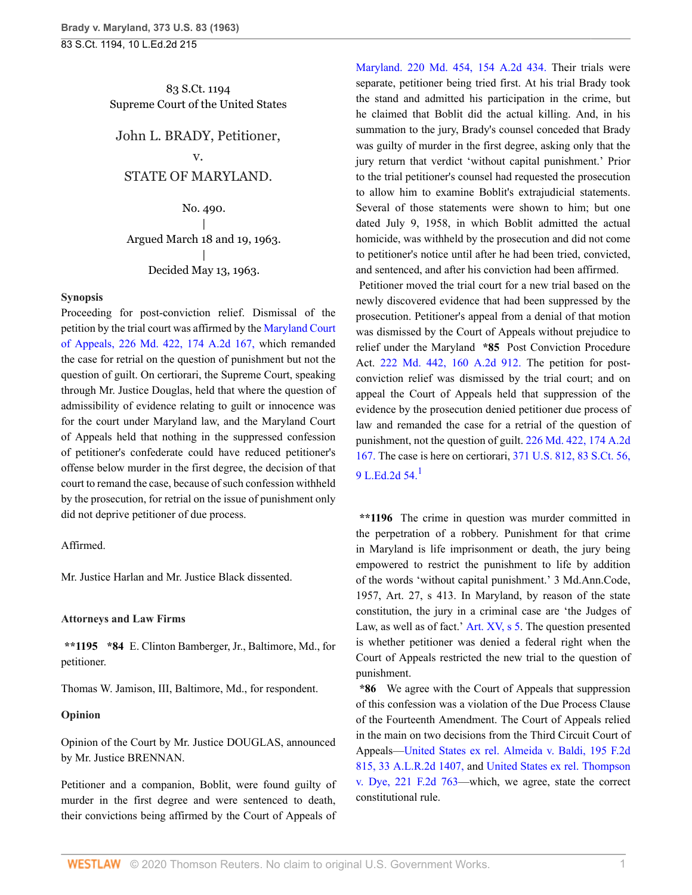83 S.Ct. 1194, 10 L.Ed.2d 215

83 S.Ct. 1194 Supreme Court of the United States

John L. BRADY, Petitioner, v. STATE OF MARYLAND. No. 490. | Argued March 18 and 19, 1963. |

### Decided May 13, 1963.

### **Synopsis**

Proceeding for post-conviction relief. Dismissal of the petition by the trial court was affirmed by the [Maryland Court](http://www.westlaw.com/Link/Document/FullText?findType=Y&serNum=1961107733&pubNum=162&originatingDoc=I236bf5969c1e11d9bdd1cfdd544ca3a4&refType=RP&originationContext=document&vr=3.0&rs=cblt1.0&transitionType=DocumentItem&contextData=(sc.Default)) [of Appeals, 226 Md. 422, 174 A.2d 167,](http://www.westlaw.com/Link/Document/FullText?findType=Y&serNum=1961107733&pubNum=162&originatingDoc=I236bf5969c1e11d9bdd1cfdd544ca3a4&refType=RP&originationContext=document&vr=3.0&rs=cblt1.0&transitionType=DocumentItem&contextData=(sc.Default)) which remanded the case for retrial on the question of punishment but not the question of guilt. On certiorari, the Supreme Court, speaking through Mr. Justice Douglas, held that where the question of admissibility of evidence relating to guilt or innocence was for the court under Maryland law, and the Maryland Court of Appeals held that nothing in the suppressed confession of petitioner's confederate could have reduced petitioner's offense below murder in the first degree, the decision of that court to remand the case, because of such confession withheld by the prosecution, for retrial on the issue of punishment only did not deprive petitioner of due process.

Affirmed.

Mr. Justice Harlan and Mr. Justice Black dissented.

## **Attorneys and Law Firms**

**\*\*1195 \*84** E. Clinton Bamberger, Jr., Baltimore, Md., for petitioner.

Thomas W. Jamison, III, Baltimore, Md., for respondent.

## **Opinion**

Opinion of the Court by Mr. Justice DOUGLAS, announced by Mr. Justice BRENNAN.

Petitioner and a companion, Boblit, were found guilty of murder in the first degree and were sentenced to death, their convictions being affirmed by the Court of Appeals of [Maryland. 220 Md. 454, 154 A.2d 434.](http://www.westlaw.com/Link/Document/FullText?findType=Y&serNum=1959107147&pubNum=162&originatingDoc=I236bf5969c1e11d9bdd1cfdd544ca3a4&refType=RP&originationContext=document&vr=3.0&rs=cblt1.0&transitionType=DocumentItem&contextData=(sc.Default)) Their trials were separate, petitioner being tried first. At his trial Brady took the stand and admitted his participation in the crime, but he claimed that Boblit did the actual killing. And, in his summation to the jury, Brady's counsel conceded that Brady was guilty of murder in the first degree, asking only that the jury return that verdict 'without capital punishment.' Prior to the trial petitioner's counsel had requested the prosecution to allow him to examine Boblit's extrajudicial statements. Several of those statements were shown to him; but one dated July 9, 1958, in which Boblit admitted the actual homicide, was withheld by the prosecution and did not come to petitioner's notice until after he had been tried, convicted, and sentenced, and after his conviction had been affirmed.

 Petitioner moved the trial court for a new trial based on the newly discovered evidence that had been suppressed by the prosecution. Petitioner's appeal from a denial of that motion was dismissed by the Court of Appeals without prejudice to relief under the Maryland **\*85** Post Conviction Procedure Act. [222 Md. 442, 160 A.2d 912.](http://www.westlaw.com/Link/Document/FullText?findType=Y&serNum=1960106485&pubNum=162&originatingDoc=I236bf5969c1e11d9bdd1cfdd544ca3a4&refType=RP&originationContext=document&vr=3.0&rs=cblt1.0&transitionType=DocumentItem&contextData=(sc.Default)) The petition for postconviction relief was dismissed by the trial court; and on appeal the Court of Appeals held that suppression of the evidence by the prosecution denied petitioner due process of law and remanded the case for a retrial of the question of punishment, not the question of guilt. [226 Md. 422, 174 A.2d](http://www.westlaw.com/Link/Document/FullText?findType=Y&serNum=1961107733&pubNum=162&originatingDoc=I236bf5969c1e11d9bdd1cfdd544ca3a4&refType=RP&originationContext=document&vr=3.0&rs=cblt1.0&transitionType=DocumentItem&contextData=(sc.Default)) [167.](http://www.westlaw.com/Link/Document/FullText?findType=Y&serNum=1961107733&pubNum=162&originatingDoc=I236bf5969c1e11d9bdd1cfdd544ca3a4&refType=RP&originationContext=document&vr=3.0&rs=cblt1.0&transitionType=DocumentItem&contextData=(sc.Default)) The case is here on certiorari, [371 U.S. 812, 83 S.Ct. 56,](http://www.westlaw.com/Link/Document/FullText?findType=Y&serNum=1962201875&pubNum=708&originatingDoc=I236bf5969c1e11d9bdd1cfdd544ca3a4&refType=RP&originationContext=document&vr=3.0&rs=cblt1.0&transitionType=DocumentItem&contextData=(sc.Default)) 9 L.Ed.2d  $54<sup>1</sup>$  $54<sup>1</sup>$  $54<sup>1</sup>$ 

<span id="page-0-0"></span>**\*\*1196** The crime in question was murder committed in the perpetration of a robbery. Punishment for that crime in Maryland is life imprisonment or death, the jury being empowered to restrict the punishment to life by addition of the words 'without capital punishment.' 3 Md.Ann.Code, 1957, Art. 27, s 413. In Maryland, by reason of the state constitution, the jury in a criminal case are 'the Judges of Law, as well as of fact.' [Art. XV, s 5](http://www.westlaw.com/Link/Document/FullText?findType=L&pubNum=1000018&cite=MDCNART15S5&originatingDoc=I236bf5969c1e11d9bdd1cfdd544ca3a4&refType=LQ&originationContext=document&vr=3.0&rs=cblt1.0&transitionType=DocumentItem&contextData=(sc.Default)). The question presented is whether petitioner was denied a federal right when the Court of Appeals restricted the new trial to the question of punishment.

**\*86** We agree with the Court of Appeals that suppression of this confession was a violation of the Due Process Clause of the Fourteenth Amendment. The Court of Appeals relied in the main on two decisions from the Third Circuit Court of Appeals—[United States ex rel. Almeida v. Baldi, 195 F.2d](http://www.westlaw.com/Link/Document/FullText?findType=Y&serNum=1952119934&pubNum=107&originatingDoc=I236bf5969c1e11d9bdd1cfdd544ca3a4&refType=RP&originationContext=document&vr=3.0&rs=cblt1.0&transitionType=DocumentItem&contextData=(sc.Default)) [815, 33 A.L.R.2d 1407,](http://www.westlaw.com/Link/Document/FullText?findType=Y&serNum=1952119934&pubNum=107&originatingDoc=I236bf5969c1e11d9bdd1cfdd544ca3a4&refType=RP&originationContext=document&vr=3.0&rs=cblt1.0&transitionType=DocumentItem&contextData=(sc.Default)) and [United States ex rel. Thompson](http://www.westlaw.com/Link/Document/FullText?findType=Y&serNum=1955121661&pubNum=350&originatingDoc=I236bf5969c1e11d9bdd1cfdd544ca3a4&refType=RP&originationContext=document&vr=3.0&rs=cblt1.0&transitionType=DocumentItem&contextData=(sc.Default)) [v. Dye, 221 F.2d 763—](http://www.westlaw.com/Link/Document/FullText?findType=Y&serNum=1955121661&pubNum=350&originatingDoc=I236bf5969c1e11d9bdd1cfdd544ca3a4&refType=RP&originationContext=document&vr=3.0&rs=cblt1.0&transitionType=DocumentItem&contextData=(sc.Default))which, we agree, state the correct constitutional rule.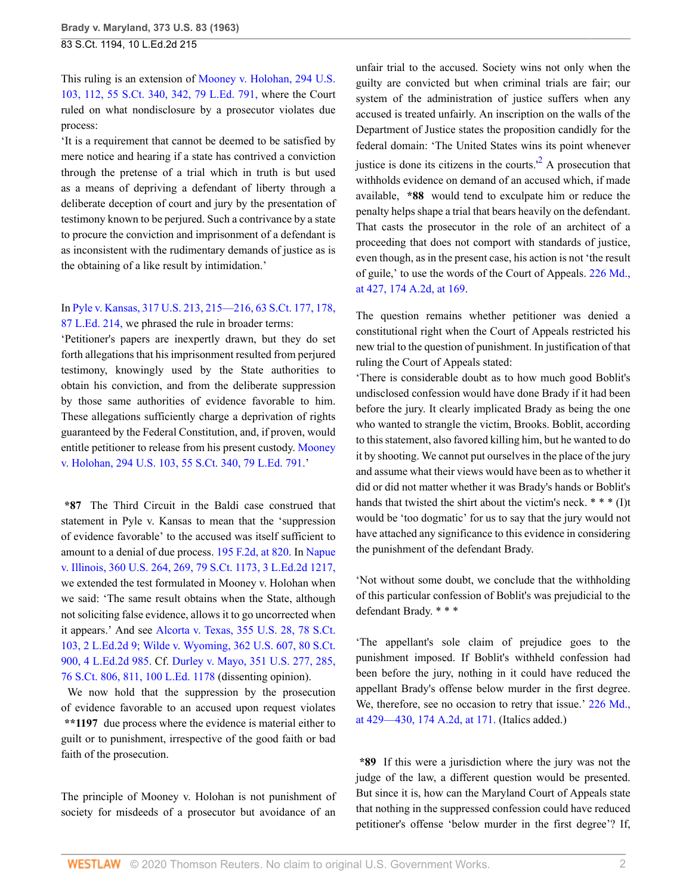This ruling is an extension of [Mooney v. Holohan, 294 U.S.](http://www.westlaw.com/Link/Document/FullText?findType=Y&serNum=1935124068&pubNum=708&originatingDoc=I236bf5969c1e11d9bdd1cfdd544ca3a4&refType=RP&fi=co_pp_sp_708_342&originationContext=document&vr=3.0&rs=cblt1.0&transitionType=DocumentItem&contextData=(sc.Default)#co_pp_sp_708_342) [103, 112, 55 S.Ct. 340, 342, 79 L.Ed. 791,](http://www.westlaw.com/Link/Document/FullText?findType=Y&serNum=1935124068&pubNum=708&originatingDoc=I236bf5969c1e11d9bdd1cfdd544ca3a4&refType=RP&fi=co_pp_sp_708_342&originationContext=document&vr=3.0&rs=cblt1.0&transitionType=DocumentItem&contextData=(sc.Default)#co_pp_sp_708_342) where the Court ruled on what nondisclosure by a prosecutor violates due process:

'It is a requirement that cannot be deemed to be satisfied by mere notice and hearing if a state has contrived a conviction through the pretense of a trial which in truth is but used as a means of depriving a defendant of liberty through a deliberate deception of court and jury by the presentation of testimony known to be perjured. Such a contrivance by a state to procure the conviction and imprisonment of a defendant is as inconsistent with the rudimentary demands of justice as is the obtaining of a like result by intimidation.'

# In [Pyle v. Kansas, 317 U.S. 213, 215—216, 63 S.Ct. 177, 178,](http://www.westlaw.com/Link/Document/FullText?findType=Y&serNum=1942122726&pubNum=708&originatingDoc=I236bf5969c1e11d9bdd1cfdd544ca3a4&refType=RP&fi=co_pp_sp_708_178&originationContext=document&vr=3.0&rs=cblt1.0&transitionType=DocumentItem&contextData=(sc.Default)#co_pp_sp_708_178) [87 L.Ed. 214,](http://www.westlaw.com/Link/Document/FullText?findType=Y&serNum=1942122726&pubNum=708&originatingDoc=I236bf5969c1e11d9bdd1cfdd544ca3a4&refType=RP&fi=co_pp_sp_708_178&originationContext=document&vr=3.0&rs=cblt1.0&transitionType=DocumentItem&contextData=(sc.Default)#co_pp_sp_708_178) we phrased the rule in broader terms:

'Petitioner's papers are inexpertly drawn, but they do set forth allegations that his imprisonment resulted from perjured testimony, knowingly used by the State authorities to obtain his conviction, and from the deliberate suppression by those same authorities of evidence favorable to him. These allegations sufficiently charge a deprivation of rights guaranteed by the Federal Constitution, and, if proven, would entitle petitioner to release from his present custody. [Mooney](http://www.westlaw.com/Link/Document/FullText?findType=Y&serNum=1935124068&pubNum=708&originatingDoc=I236bf5969c1e11d9bdd1cfdd544ca3a4&refType=RP&originationContext=document&vr=3.0&rs=cblt1.0&transitionType=DocumentItem&contextData=(sc.Default)) [v. Holohan, 294 U.S. 103, 55 S.Ct. 340, 79 L.Ed. 791.](http://www.westlaw.com/Link/Document/FullText?findType=Y&serNum=1935124068&pubNum=708&originatingDoc=I236bf5969c1e11d9bdd1cfdd544ca3a4&refType=RP&originationContext=document&vr=3.0&rs=cblt1.0&transitionType=DocumentItem&contextData=(sc.Default))'

**\*87** The Third Circuit in the Baldi case construed that statement in Pyle v. Kansas to mean that the 'suppression of evidence favorable' to the accused was itself sufficient to amount to a denial of due process. [195 F.2d, at 820.](http://www.westlaw.com/Link/Document/FullText?findType=Y&serNum=1952119934&pubNum=350&originatingDoc=I236bf5969c1e11d9bdd1cfdd544ca3a4&refType=RP&fi=co_pp_sp_350_820&originationContext=document&vr=3.0&rs=cblt1.0&transitionType=DocumentItem&contextData=(sc.Default)#co_pp_sp_350_820) In [Napue](http://www.westlaw.com/Link/Document/FullText?findType=Y&serNum=1959123779&pubNum=708&originatingDoc=I236bf5969c1e11d9bdd1cfdd544ca3a4&refType=RP&originationContext=document&vr=3.0&rs=cblt1.0&transitionType=DocumentItem&contextData=(sc.Default)) [v. Illinois, 360 U.S. 264, 269, 79 S.Ct. 1173, 3 L.Ed.2d 1217,](http://www.westlaw.com/Link/Document/FullText?findType=Y&serNum=1959123779&pubNum=708&originatingDoc=I236bf5969c1e11d9bdd1cfdd544ca3a4&refType=RP&originationContext=document&vr=3.0&rs=cblt1.0&transitionType=DocumentItem&contextData=(sc.Default)) we extended the test formulated in Mooney v. Holohan when we said: 'The same result obtains when the State, although not soliciting false evidence, allows it to go uncorrected when it appears.' And see [Alcorta v. Texas, 355 U.S. 28, 78 S.Ct.](http://www.westlaw.com/Link/Document/FullText?findType=Y&serNum=1957120404&pubNum=708&originatingDoc=I236bf5969c1e11d9bdd1cfdd544ca3a4&refType=RP&originationContext=document&vr=3.0&rs=cblt1.0&transitionType=DocumentItem&contextData=(sc.Default)) [103, 2 L.Ed.2d 9;](http://www.westlaw.com/Link/Document/FullText?findType=Y&serNum=1957120404&pubNum=708&originatingDoc=I236bf5969c1e11d9bdd1cfdd544ca3a4&refType=RP&originationContext=document&vr=3.0&rs=cblt1.0&transitionType=DocumentItem&contextData=(sc.Default)) [Wilde v. Wyoming, 362 U.S. 607, 80 S.Ct.](http://www.westlaw.com/Link/Document/FullText?findType=Y&serNum=1960105183&pubNum=708&originatingDoc=I236bf5969c1e11d9bdd1cfdd544ca3a4&refType=RP&originationContext=document&vr=3.0&rs=cblt1.0&transitionType=DocumentItem&contextData=(sc.Default)) [900, 4 L.Ed.2d 985.](http://www.westlaw.com/Link/Document/FullText?findType=Y&serNum=1960105183&pubNum=708&originatingDoc=I236bf5969c1e11d9bdd1cfdd544ca3a4&refType=RP&originationContext=document&vr=3.0&rs=cblt1.0&transitionType=DocumentItem&contextData=(sc.Default)) Cf. [Durley v. Mayo, 351 U.S. 277, 285,](http://www.westlaw.com/Link/Document/FullText?findType=Y&serNum=1956108192&pubNum=708&originatingDoc=I236bf5969c1e11d9bdd1cfdd544ca3a4&refType=RP&fi=co_pp_sp_708_811&originationContext=document&vr=3.0&rs=cblt1.0&transitionType=DocumentItem&contextData=(sc.Default)#co_pp_sp_708_811) [76 S.Ct. 806, 811, 100 L.Ed. 1178](http://www.westlaw.com/Link/Document/FullText?findType=Y&serNum=1956108192&pubNum=708&originatingDoc=I236bf5969c1e11d9bdd1cfdd544ca3a4&refType=RP&fi=co_pp_sp_708_811&originationContext=document&vr=3.0&rs=cblt1.0&transitionType=DocumentItem&contextData=(sc.Default)#co_pp_sp_708_811) (dissenting opinion).

 We now hold that the suppression by the prosecution of evidence favorable to an accused upon request violates **\*\*1197** due process where the evidence is material either to guilt or to punishment, irrespective of the good faith or bad faith of the prosecution.

The principle of Mooney v. Holohan is not punishment of society for misdeeds of a prosecutor but avoidance of an

<span id="page-1-0"></span>unfair trial to the accused. Society wins not only when the guilty are convicted but when criminal trials are fair; our system of the administration of justice suffers when any accused is treated unfairly. An inscription on the walls of the Department of Justice states the proposition candidly for the federal domain: 'The United States wins its point whenever justice is done its citizens in the courts.<sup> $2$ </sup> A prosecution that withholds evidence on demand of an accused which, if made available, **\*88** would tend to exculpate him or reduce the penalty helps shape a trial that bears heavily on the defendant. That casts the prosecutor in the role of an architect of a proceeding that does not comport with standards of justice, even though, as in the present case, his action is not 'the result of guile,' to use the words of the Court of Appeals. [226 Md.,](http://www.westlaw.com/Link/Document/FullText?findType=Y&serNum=1961107733&pubNum=162&originatingDoc=I236bf5969c1e11d9bdd1cfdd544ca3a4&refType=RP&fi=co_pp_sp_162_169&originationContext=document&vr=3.0&rs=cblt1.0&transitionType=DocumentItem&contextData=(sc.Default)#co_pp_sp_162_169) [at 427, 174 A.2d, at 169.](http://www.westlaw.com/Link/Document/FullText?findType=Y&serNum=1961107733&pubNum=162&originatingDoc=I236bf5969c1e11d9bdd1cfdd544ca3a4&refType=RP&fi=co_pp_sp_162_169&originationContext=document&vr=3.0&rs=cblt1.0&transitionType=DocumentItem&contextData=(sc.Default)#co_pp_sp_162_169)

The question remains whether petitioner was denied a constitutional right when the Court of Appeals restricted his new trial to the question of punishment. In justification of that ruling the Court of Appeals stated:

'There is considerable doubt as to how much good Boblit's undisclosed confession would have done Brady if it had been before the jury. It clearly implicated Brady as being the one who wanted to strangle the victim, Brooks. Boblit, according to this statement, also favored killing him, but he wanted to do it by shooting. We cannot put ourselves in the place of the jury and assume what their views would have been as to whether it did or did not matter whether it was Brady's hands or Boblit's hands that twisted the shirt about the victim's neck. \*\*\* (I)t would be 'too dogmatic' for us to say that the jury would not have attached any significance to this evidence in considering the punishment of the defendant Brady.

'Not without some doubt, we conclude that the withholding of this particular confession of Boblit's was prejudicial to the defendant Brady. \* \* \*

'The appellant's sole claim of prejudice goes to the punishment imposed. If Boblit's withheld confession had been before the jury, nothing in it could have reduced the appellant Brady's offense below murder in the first degree. We, therefore, see no occasion to retry that issue.' [226 Md.,](http://www.westlaw.com/Link/Document/FullText?findType=Y&serNum=1961107733&pubNum=162&originatingDoc=I236bf5969c1e11d9bdd1cfdd544ca3a4&refType=RP&fi=co_pp_sp_162_171&originationContext=document&vr=3.0&rs=cblt1.0&transitionType=DocumentItem&contextData=(sc.Default)#co_pp_sp_162_171) [at 429—430, 174 A.2d, at 171.](http://www.westlaw.com/Link/Document/FullText?findType=Y&serNum=1961107733&pubNum=162&originatingDoc=I236bf5969c1e11d9bdd1cfdd544ca3a4&refType=RP&fi=co_pp_sp_162_171&originationContext=document&vr=3.0&rs=cblt1.0&transitionType=DocumentItem&contextData=(sc.Default)#co_pp_sp_162_171) (Italics added.)

**\*89** If this were a jurisdiction where the jury was not the judge of the law, a different question would be presented. But since it is, how can the Maryland Court of Appeals state that nothing in the suppressed confession could have reduced petitioner's offense 'below murder in the first degree'? If,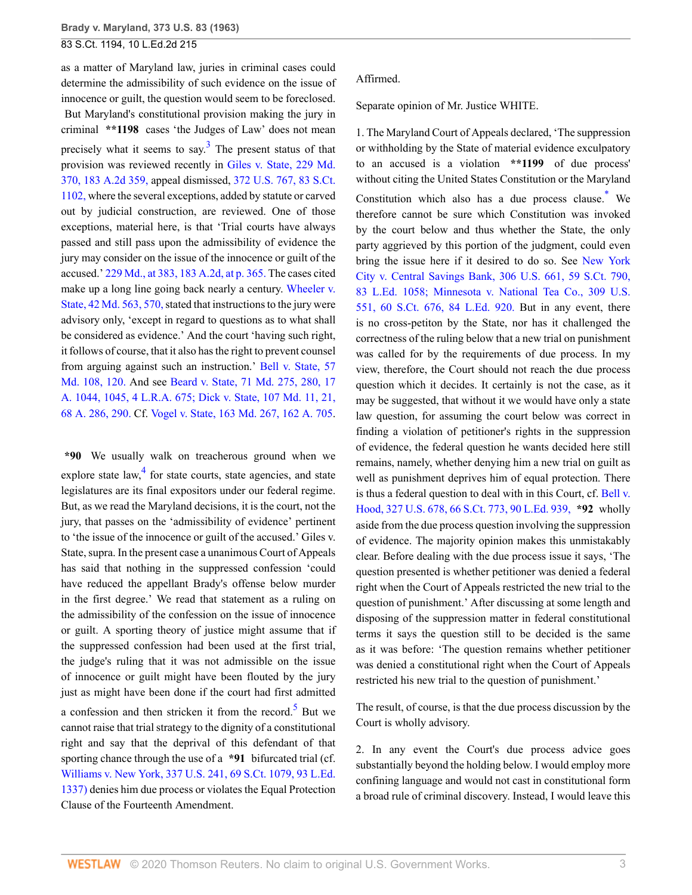83 S.Ct. 1194, 10 L.Ed.2d 215

as a matter of Maryland law, juries in criminal cases could determine the admissibility of such evidence on the issue of innocence or guilt, the question would seem to be foreclosed. But Maryland's constitutional provision making the jury in criminal **\*\*1198** cases 'the Judges of Law' does not mean precisely what it seems to say. $3$  The present status of that provision was reviewed recently in [Giles v. State, 229 Md.](http://www.westlaw.com/Link/Document/FullText?findType=Y&serNum=1962108211&pubNum=162&originatingDoc=I236bf5969c1e11d9bdd1cfdd544ca3a4&refType=RP&originationContext=document&vr=3.0&rs=cblt1.0&transitionType=DocumentItem&contextData=(sc.Default)) [370, 183 A.2d 359,](http://www.westlaw.com/Link/Document/FullText?findType=Y&serNum=1962108211&pubNum=162&originatingDoc=I236bf5969c1e11d9bdd1cfdd544ca3a4&refType=RP&originationContext=document&vr=3.0&rs=cblt1.0&transitionType=DocumentItem&contextData=(sc.Default)) appeal dismissed, [372 U.S. 767, 83 S.Ct.](http://www.westlaw.com/Link/Document/FullText?findType=Y&serNum=1963203192&pubNum=708&originatingDoc=I236bf5969c1e11d9bdd1cfdd544ca3a4&refType=RP&originationContext=document&vr=3.0&rs=cblt1.0&transitionType=DocumentItem&contextData=(sc.Default)) [1102,](http://www.westlaw.com/Link/Document/FullText?findType=Y&serNum=1963203192&pubNum=708&originatingDoc=I236bf5969c1e11d9bdd1cfdd544ca3a4&refType=RP&originationContext=document&vr=3.0&rs=cblt1.0&transitionType=DocumentItem&contextData=(sc.Default)) where the several exceptions, added by statute or carved out by judicial construction, are reviewed. One of those exceptions, material here, is that 'Trial courts have always passed and still pass upon the admissibility of evidence the jury may consider on the issue of the innocence or guilt of the accused.' [229 Md., at 383, 183 A.2d, at p. 365.](http://www.westlaw.com/Link/Document/FullText?findType=Y&serNum=1962108211&pubNum=162&originatingDoc=I236bf5969c1e11d9bdd1cfdd544ca3a4&refType=RP&fi=co_pp_sp_162_365&originationContext=document&vr=3.0&rs=cblt1.0&transitionType=DocumentItem&contextData=(sc.Default)#co_pp_sp_162_365) The cases cited make up a long line going back nearly a century. [Wheeler v.](http://www.westlaw.com/Link/Document/FullText?findType=Y&serNum=1875008216&pubNum=536&originatingDoc=I236bf5969c1e11d9bdd1cfdd544ca3a4&refType=RP&fi=co_pp_sp_536_570&originationContext=document&vr=3.0&rs=cblt1.0&transitionType=DocumentItem&contextData=(sc.Default)#co_pp_sp_536_570) [State, 42 Md. 563, 570,](http://www.westlaw.com/Link/Document/FullText?findType=Y&serNum=1875008216&pubNum=536&originatingDoc=I236bf5969c1e11d9bdd1cfdd544ca3a4&refType=RP&fi=co_pp_sp_536_570&originationContext=document&vr=3.0&rs=cblt1.0&transitionType=DocumentItem&contextData=(sc.Default)#co_pp_sp_536_570) stated that instructions to the jury were advisory only, 'except in regard to questions as to what shall be considered as evidence.' And the court 'having such right, it follows of course, that it also has the right to prevent counsel from arguing against such an instruction.' [Bell v. State, 57](http://www.westlaw.com/Link/Document/FullText?findType=Y&serNum=1881016433&pubNum=536&originatingDoc=I236bf5969c1e11d9bdd1cfdd544ca3a4&refType=RP&fi=co_pp_sp_536_120&originationContext=document&vr=3.0&rs=cblt1.0&transitionType=DocumentItem&contextData=(sc.Default)#co_pp_sp_536_120) [Md. 108, 120.](http://www.westlaw.com/Link/Document/FullText?findType=Y&serNum=1881016433&pubNum=536&originatingDoc=I236bf5969c1e11d9bdd1cfdd544ca3a4&refType=RP&fi=co_pp_sp_536_120&originationContext=document&vr=3.0&rs=cblt1.0&transitionType=DocumentItem&contextData=(sc.Default)#co_pp_sp_536_120) And see [Beard v. State, 71 Md. 275, 280, 17](http://www.westlaw.com/Link/Document/FullText?findType=Y&serNum=1889087939&pubNum=161&originatingDoc=I236bf5969c1e11d9bdd1cfdd544ca3a4&refType=RP&fi=co_pp_sp_161_1045&originationContext=document&vr=3.0&rs=cblt1.0&transitionType=DocumentItem&contextData=(sc.Default)#co_pp_sp_161_1045) [A. 1044, 1045,](http://www.westlaw.com/Link/Document/FullText?findType=Y&serNum=1889087939&pubNum=161&originatingDoc=I236bf5969c1e11d9bdd1cfdd544ca3a4&refType=RP&fi=co_pp_sp_161_1045&originationContext=document&vr=3.0&rs=cblt1.0&transitionType=DocumentItem&contextData=(sc.Default)#co_pp_sp_161_1045) [4 L.R.A. 675;](http://www.westlaw.com/Link/Document/FullText?findType=Y&serNum=1889087939&pubNum=473&originatingDoc=I236bf5969c1e11d9bdd1cfdd544ca3a4&refType=RP&originationContext=document&vr=3.0&rs=cblt1.0&transitionType=DocumentItem&contextData=(sc.Default)) [Dick v. State, 107 Md. 11, 21,](http://www.westlaw.com/Link/Document/FullText?findType=Y&serNum=1907016799&pubNum=161&originatingDoc=I236bf5969c1e11d9bdd1cfdd544ca3a4&refType=RP&fi=co_pp_sp_161_290&originationContext=document&vr=3.0&rs=cblt1.0&transitionType=DocumentItem&contextData=(sc.Default)#co_pp_sp_161_290) [68 A. 286, 290.](http://www.westlaw.com/Link/Document/FullText?findType=Y&serNum=1907016799&pubNum=161&originatingDoc=I236bf5969c1e11d9bdd1cfdd544ca3a4&refType=RP&fi=co_pp_sp_161_290&originationContext=document&vr=3.0&rs=cblt1.0&transitionType=DocumentItem&contextData=(sc.Default)#co_pp_sp_161_290) Cf. [Vogel v. State, 163 Md. 267, 162 A. 705.](http://www.westlaw.com/Link/Document/FullText?findType=Y&serNum=1932116205&pubNum=161&originatingDoc=I236bf5969c1e11d9bdd1cfdd544ca3a4&refType=RP&originationContext=document&vr=3.0&rs=cblt1.0&transitionType=DocumentItem&contextData=(sc.Default))

<span id="page-2-1"></span>**\*90** We usually walk on treacherous ground when we explore state law,<sup>[4](#page-4-2)</sup> for state courts, state agencies, and state legislatures are its final expositors under our federal regime. But, as we read the Maryland decisions, it is the court, not the jury, that passes on the 'admissibility of evidence' pertinent to 'the issue of the innocence or guilt of the accused.' Giles v. State, supra. In the present case a unanimous Court of Appeals has said that nothing in the suppressed confession 'could have reduced the appellant Brady's offense below murder in the first degree.' We read that statement as a ruling on the admissibility of the confession on the issue of innocence or guilt. A sporting theory of justice might assume that if the suppressed confession had been used at the first trial, the judge's ruling that it was not admissible on the issue of innocence or guilt might have been flouted by the jury just as might have been done if the court had first admitted a confession and then stricken it from the record.<sup>[5](#page-4-3)</sup> But we cannot raise that trial strategy to the dignity of a constitutional right and say that the deprival of this defendant of that sporting chance through the use of a **\*91** bifurcated trial (cf. [Williams v. New York, 337 U.S. 241, 69 S.Ct. 1079, 93 L.Ed.](http://www.westlaw.com/Link/Document/FullText?findType=Y&serNum=1949119549&pubNum=708&originatingDoc=I236bf5969c1e11d9bdd1cfdd544ca3a4&refType=RP&originationContext=document&vr=3.0&rs=cblt1.0&transitionType=DocumentItem&contextData=(sc.Default)) [1337\)](http://www.westlaw.com/Link/Document/FullText?findType=Y&serNum=1949119549&pubNum=708&originatingDoc=I236bf5969c1e11d9bdd1cfdd544ca3a4&refType=RP&originationContext=document&vr=3.0&rs=cblt1.0&transitionType=DocumentItem&contextData=(sc.Default)) denies him due process or violates the Equal Protection Clause of the Fourteenth Amendment.

#### Affirmed.

Separate opinion of Mr. Justice WHITE.

<span id="page-2-3"></span><span id="page-2-0"></span>1. The Maryland Court of Appeals declared, 'The suppression or withholding by the State of material evidence exculpatory to an accused is a violation **\*\*1199** of due process' without citing the United States Constitution or the Maryland Constitution which also has a due process clause.<sup>[\\*](#page-4-4)</sup> We therefore cannot be sure which Constitution was invoked by the court below and thus whether the State, the only party aggrieved by this portion of the judgment, could even bring the issue here if it desired to do so. See [New York](http://www.westlaw.com/Link/Document/FullText?findType=Y&serNum=1939202207&pubNum=708&originatingDoc=I236bf5969c1e11d9bdd1cfdd544ca3a4&refType=RP&originationContext=document&vr=3.0&rs=cblt1.0&transitionType=DocumentItem&contextData=(sc.Default)) [City v. Central Savings Bank, 306 U.S. 661, 59 S.Ct. 790,](http://www.westlaw.com/Link/Document/FullText?findType=Y&serNum=1939202207&pubNum=708&originatingDoc=I236bf5969c1e11d9bdd1cfdd544ca3a4&refType=RP&originationContext=document&vr=3.0&rs=cblt1.0&transitionType=DocumentItem&contextData=(sc.Default)) [83 L.Ed. 1058;](http://www.westlaw.com/Link/Document/FullText?findType=Y&serNum=1939202207&pubNum=708&originatingDoc=I236bf5969c1e11d9bdd1cfdd544ca3a4&refType=RP&originationContext=document&vr=3.0&rs=cblt1.0&transitionType=DocumentItem&contextData=(sc.Default)) [Minnesota v. National Tea Co., 309 U.S.](http://www.westlaw.com/Link/Document/FullText?findType=Y&serNum=1940123991&pubNum=708&originatingDoc=I236bf5969c1e11d9bdd1cfdd544ca3a4&refType=RP&originationContext=document&vr=3.0&rs=cblt1.0&transitionType=DocumentItem&contextData=(sc.Default)) [551, 60 S.Ct. 676, 84 L.Ed. 920.](http://www.westlaw.com/Link/Document/FullText?findType=Y&serNum=1940123991&pubNum=708&originatingDoc=I236bf5969c1e11d9bdd1cfdd544ca3a4&refType=RP&originationContext=document&vr=3.0&rs=cblt1.0&transitionType=DocumentItem&contextData=(sc.Default)) But in any event, there is no cross-petiton by the State, nor has it challenged the correctness of the ruling below that a new trial on punishment was called for by the requirements of due process. In my view, therefore, the Court should not reach the due process question which it decides. It certainly is not the case, as it may be suggested, that without it we would have only a state law question, for assuming the court below was correct in finding a violation of petitioner's rights in the suppression of evidence, the federal question he wants decided here still remains, namely, whether denying him a new trial on guilt as well as punishment deprives him of equal protection. There is thus a federal question to deal with in this Court, cf. [Bell v.](http://www.westlaw.com/Link/Document/FullText?findType=Y&serNum=1946112790&pubNum=708&originatingDoc=I236bf5969c1e11d9bdd1cfdd544ca3a4&refType=RP&originationContext=document&vr=3.0&rs=cblt1.0&transitionType=DocumentItem&contextData=(sc.Default)) [Hood, 327 U.S. 678, 66 S.Ct. 773, 90 L.Ed. 939,](http://www.westlaw.com/Link/Document/FullText?findType=Y&serNum=1946112790&pubNum=708&originatingDoc=I236bf5969c1e11d9bdd1cfdd544ca3a4&refType=RP&originationContext=document&vr=3.0&rs=cblt1.0&transitionType=DocumentItem&contextData=(sc.Default)) **\*92** wholly aside from the due process question involving the suppression of evidence. The majority opinion makes this unmistakably clear. Before dealing with the due process issue it says, 'The question presented is whether petitioner was denied a federal right when the Court of Appeals restricted the new trial to the question of punishment.' After discussing at some length and disposing of the suppression matter in federal constitutional terms it says the question still to be decided is the same as it was before: 'The question remains whether petitioner was denied a constitutional right when the Court of Appeals restricted his new trial to the question of punishment.'

<span id="page-2-2"></span>The result, of course, is that the due process discussion by the Court is wholly advisory.

2. In any event the Court's due process advice goes substantially beyond the holding below. I would employ more confining language and would not cast in constitutional form a broad rule of criminal discovery. Instead, I would leave this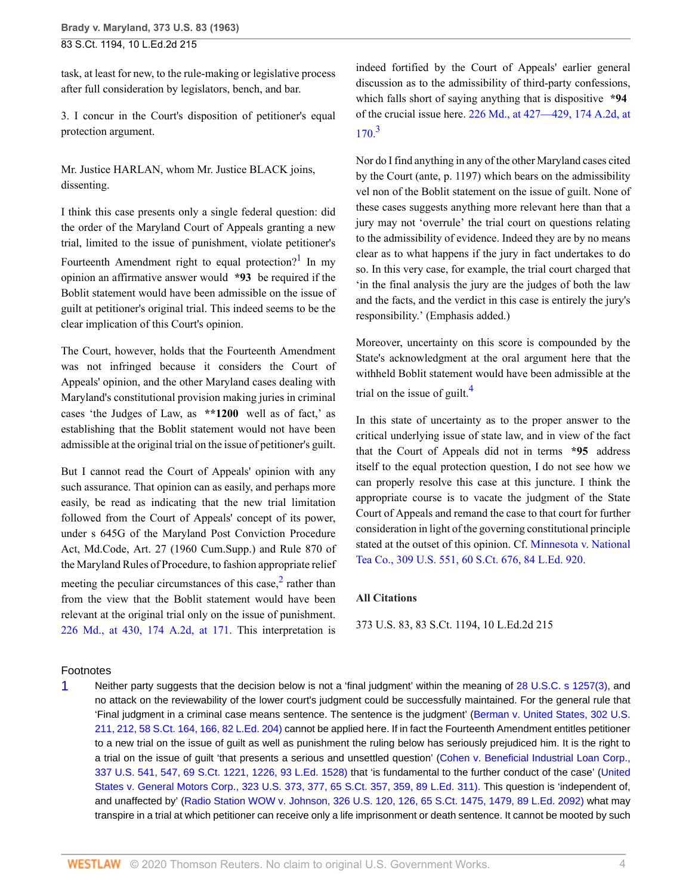task, at least for new, to the rule-making or legislative process after full consideration by legislators, bench, and bar.

3. I concur in the Court's disposition of petitioner's equal protection argument.

Mr. Justice HARLAN, whom Mr. Justice BLACK joins, dissenting.

I think this case presents only a single federal question: did the order of the Maryland Court of Appeals granting a new trial, limited to the issue of punishment, violate petitioner's Fourteenth Amendment right to equal protection?<sup>[1](#page-4-5)</sup> In my opinion an affirmative answer would **\*93** be required if the Boblit statement would have been admissible on the issue of guilt at petitioner's original trial. This indeed seems to be the clear implication of this Court's opinion.

The Court, however, holds that the Fourteenth Amendment was not infringed because it considers the Court of Appeals' opinion, and the other Maryland cases dealing with Maryland's constitutional provision making juries in criminal cases 'the Judges of Law, as **\*\*1200** well as of fact,' as establishing that the Boblit statement would not have been admissible at the original trial on the issue of petitioner's guilt.

But I cannot read the Court of Appeals' opinion with any such assurance. That opinion can as easily, and perhaps more easily, be read as indicating that the new trial limitation followed from the Court of Appeals' concept of its power, under s 645G of the Maryland Post Conviction Procedure Act, Md.Code, Art. 27 (1960 Cum.Supp.) and Rule 870 of the Maryland Rules of Procedure, to fashion appropriate relief meeting the peculiar circumstances of this case, $2$  rather than from the view that the Boblit statement would have been relevant at the original trial only on the issue of punishment. [226 Md., at 430, 174 A.2d, at 171.](http://www.westlaw.com/Link/Document/FullText?findType=Y&serNum=1961107733&pubNum=162&originatingDoc=I236bf5969c1e11d9bdd1cfdd544ca3a4&refType=RP&fi=co_pp_sp_162_171&originationContext=document&vr=3.0&rs=cblt1.0&transitionType=DocumentItem&contextData=(sc.Default)#co_pp_sp_162_171) This interpretation is

indeed fortified by the Court of Appeals' earlier general discussion as to the admissibility of third-party confessions, which falls short of saying anything that is dispositive **\*94** of the crucial issue here. [226 Md., at 427—429, 174 A.2d, at](http://www.westlaw.com/Link/Document/FullText?findType=Y&serNum=1961107733&pubNum=162&originatingDoc=I236bf5969c1e11d9bdd1cfdd544ca3a4&refType=RP&fi=co_pp_sp_162_170&originationContext=document&vr=3.0&rs=cblt1.0&transitionType=DocumentItem&contextData=(sc.Default)#co_pp_sp_162_170) [170.](http://www.westlaw.com/Link/Document/FullText?findType=Y&serNum=1961107733&pubNum=162&originatingDoc=I236bf5969c1e11d9bdd1cfdd544ca3a4&refType=RP&fi=co_pp_sp_162_170&originationContext=document&vr=3.0&rs=cblt1.0&transitionType=DocumentItem&contextData=(sc.Default)#co_pp_sp_162_170)[3](#page-4-7)

<span id="page-3-3"></span>Nor do I find anything in any of the other Maryland cases cited by the Court (ante, p. 1197) which bears on the admissibility vel non of the Boblit statement on the issue of guilt. None of these cases suggests anything more relevant here than that a jury may not 'overrule' the trial court on questions relating to the admissibility of evidence. Indeed they are by no means clear as to what happens if the jury in fact undertakes to do so. In this very case, for example, the trial court charged that 'in the final analysis the jury are the judges of both the law and the facts, and the verdict in this case is entirely the jury's responsibility.' (Emphasis added.)

<span id="page-3-1"></span>Moreover, uncertainty on this score is compounded by the State's acknowledgment at the oral argument here that the withheld Boblit statement would have been admissible at the trial on the issue of guilt. $4$ 

<span id="page-3-4"></span>In this state of uncertainty as to the proper answer to the critical underlying issue of state law, and in view of the fact that the Court of Appeals did not in terms **\*95** address itself to the equal protection question, I do not see how we can properly resolve this case at this juncture. I think the appropriate course is to vacate the judgment of the State Court of Appeals and remand the case to that court for further consideration in light of the governing constitutional principle stated at the outset of this opinion. Cf. [Minnesota v. National](http://www.westlaw.com/Link/Document/FullText?findType=Y&serNum=1940123991&pubNum=708&originatingDoc=I236bf5969c1e11d9bdd1cfdd544ca3a4&refType=RP&originationContext=document&vr=3.0&rs=cblt1.0&transitionType=DocumentItem&contextData=(sc.Default)) [Tea Co., 309 U.S. 551, 60 S.Ct. 676, 84 L.Ed. 920.](http://www.westlaw.com/Link/Document/FullText?findType=Y&serNum=1940123991&pubNum=708&originatingDoc=I236bf5969c1e11d9bdd1cfdd544ca3a4&refType=RP&originationContext=document&vr=3.0&rs=cblt1.0&transitionType=DocumentItem&contextData=(sc.Default))

## <span id="page-3-2"></span>**All Citations**

373 U.S. 83, 83 S.Ct. 1194, 10 L.Ed.2d 215

# Footnotes

<span id="page-3-0"></span>[1](#page-0-0) Neither party suggests that the decision below is not a 'final judgment' within the meaning of [28 U.S.C. s 1257\(3\),](http://www.westlaw.com/Link/Document/FullText?findType=L&pubNum=1000546&cite=28USCAS1257&originatingDoc=I236bf5969c1e11d9bdd1cfdd544ca3a4&refType=LQ&originationContext=document&vr=3.0&rs=cblt1.0&transitionType=DocumentItem&contextData=(sc.Default)) and no attack on the reviewability of the lower court's judgment could be successfully maintained. For the general rule that 'Final judgment in a criminal case means sentence. The sentence is the judgment' [\(Berman v. United States, 302 U.S.](http://www.westlaw.com/Link/Document/FullText?findType=Y&serNum=1937121467&pubNum=708&originatingDoc=I236bf5969c1e11d9bdd1cfdd544ca3a4&refType=RP&fi=co_pp_sp_708_166&originationContext=document&vr=3.0&rs=cblt1.0&transitionType=DocumentItem&contextData=(sc.Default)#co_pp_sp_708_166) [211, 212, 58 S.Ct. 164, 166, 82 L.Ed. 204\)](http://www.westlaw.com/Link/Document/FullText?findType=Y&serNum=1937121467&pubNum=708&originatingDoc=I236bf5969c1e11d9bdd1cfdd544ca3a4&refType=RP&fi=co_pp_sp_708_166&originationContext=document&vr=3.0&rs=cblt1.0&transitionType=DocumentItem&contextData=(sc.Default)#co_pp_sp_708_166) cannot be applied here. If in fact the Fourteenth Amendment entitles petitioner to a new trial on the issue of guilt as well as punishment the ruling below has seriously prejudiced him. It is the right to a trial on the issue of guilt 'that presents a serious and unsettled question' [\(Cohen v. Beneficial Industrial Loan Corp.,](http://www.westlaw.com/Link/Document/FullText?findType=Y&serNum=1949116439&pubNum=708&originatingDoc=I236bf5969c1e11d9bdd1cfdd544ca3a4&refType=RP&fi=co_pp_sp_708_1226&originationContext=document&vr=3.0&rs=cblt1.0&transitionType=DocumentItem&contextData=(sc.Default)#co_pp_sp_708_1226) [337 U.S. 541, 547, 69 S.Ct. 1221, 1226, 93 L.Ed. 1528\)](http://www.westlaw.com/Link/Document/FullText?findType=Y&serNum=1949116439&pubNum=708&originatingDoc=I236bf5969c1e11d9bdd1cfdd544ca3a4&refType=RP&fi=co_pp_sp_708_1226&originationContext=document&vr=3.0&rs=cblt1.0&transitionType=DocumentItem&contextData=(sc.Default)#co_pp_sp_708_1226) that 'is fundamental to the further conduct of the case' ([United](http://www.westlaw.com/Link/Document/FullText?findType=Y&serNum=1945116658&pubNum=708&originatingDoc=I236bf5969c1e11d9bdd1cfdd544ca3a4&refType=RP&fi=co_pp_sp_708_359&originationContext=document&vr=3.0&rs=cblt1.0&transitionType=DocumentItem&contextData=(sc.Default)#co_pp_sp_708_359) [States v. General Motors Corp., 323 U.S. 373, 377, 65 S.Ct. 357, 359, 89 L.Ed. 311\).](http://www.westlaw.com/Link/Document/FullText?findType=Y&serNum=1945116658&pubNum=708&originatingDoc=I236bf5969c1e11d9bdd1cfdd544ca3a4&refType=RP&fi=co_pp_sp_708_359&originationContext=document&vr=3.0&rs=cblt1.0&transitionType=DocumentItem&contextData=(sc.Default)#co_pp_sp_708_359) This question is 'independent of, and unaffected by' [\(Radio Station WOW v. Johnson, 326 U.S. 120, 126, 65 S.Ct. 1475, 1479, 89 L.Ed. 2092\)](http://www.westlaw.com/Link/Document/FullText?findType=Y&serNum=1945117433&pubNum=708&originatingDoc=I236bf5969c1e11d9bdd1cfdd544ca3a4&refType=RP&fi=co_pp_sp_708_1479&originationContext=document&vr=3.0&rs=cblt1.0&transitionType=DocumentItem&contextData=(sc.Default)#co_pp_sp_708_1479) what may transpire in a trial at which petitioner can receive only a life imprisonment or death sentence. It cannot be mooted by such